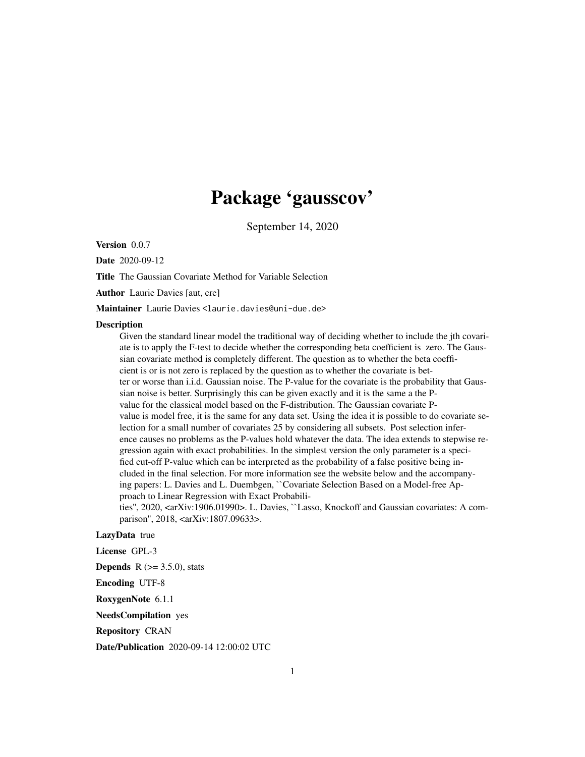# Package 'gausscov'

September 14, 2020

Version 0.0.7

Date 2020-09-12

Title The Gaussian Covariate Method for Variable Selection

Author Laurie Davies [aut, cre]

Maintainer Laurie Davies <laurie.davies@uni-due.de>

#### **Description**

Given the standard linear model the traditional way of deciding whether to include the jth covariate is to apply the F-test to decide whether the corresponding beta coefficient is zero. The Gaussian covariate method is completely different. The question as to whether the beta coefficient is or is not zero is replaced by the question as to whether the covariate is better or worse than i.i.d. Gaussian noise. The P-value for the covariate is the probability that Gaussian noise is better. Surprisingly this can be given exactly and it is the same a the Pvalue for the classical model based on the F-distribution. The Gaussian covariate Pvalue is model free, it is the same for any data set. Using the idea it is possible to do covariate selection for a small number of covariates 25 by considering all subsets. Post selection inference causes no problems as the P-values hold whatever the data. The idea extends to stepwise regression again with exact probabilities. In the simplest version the only parameter is a specified cut-off P-value which can be interpreted as the probability of a false positive being included in the final selection. For more information see the website below and the accompanying papers: L. Davies and L. Duembgen, ``Covariate Selection Based on a Model-free Approach to Linear Regression with Exact Probabilities", 2020, <arXiv:1906.01990>. L. Davies, ``Lasso, Knockoff and Gaussian covariates: A com-

parison", 2018, <arXiv:1807.09633>.

# LazyData true

License GPL-3

**Depends** R  $(>= 3.5.0)$ , stats

Encoding UTF-8

RoxygenNote 6.1.1

NeedsCompilation yes

Repository CRAN

Date/Publication 2020-09-14 12:00:02 UTC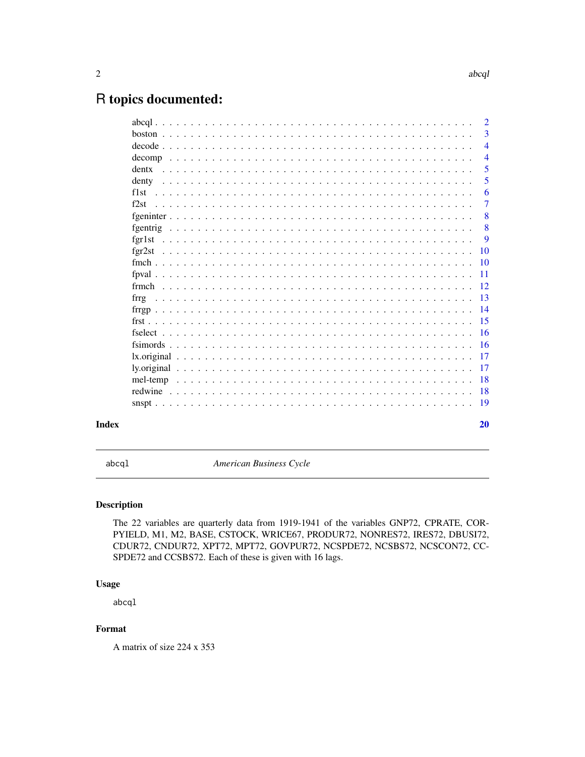# <span id="page-1-0"></span>R topics documented:

|          |  |  |  |  |  |  |  |  |  |  |  |  |  |  |  |  |  |  |  |  | $\overline{2}$ |
|----------|--|--|--|--|--|--|--|--|--|--|--|--|--|--|--|--|--|--|--|--|----------------|
|          |  |  |  |  |  |  |  |  |  |  |  |  |  |  |  |  |  |  |  |  | $\overline{3}$ |
|          |  |  |  |  |  |  |  |  |  |  |  |  |  |  |  |  |  |  |  |  | $\overline{4}$ |
|          |  |  |  |  |  |  |  |  |  |  |  |  |  |  |  |  |  |  |  |  | $\overline{4}$ |
| dentx    |  |  |  |  |  |  |  |  |  |  |  |  |  |  |  |  |  |  |  |  | 5              |
| denty    |  |  |  |  |  |  |  |  |  |  |  |  |  |  |  |  |  |  |  |  | 5              |
| f1st     |  |  |  |  |  |  |  |  |  |  |  |  |  |  |  |  |  |  |  |  | 6              |
| f2st     |  |  |  |  |  |  |  |  |  |  |  |  |  |  |  |  |  |  |  |  | $\overline{7}$ |
|          |  |  |  |  |  |  |  |  |  |  |  |  |  |  |  |  |  |  |  |  | 8              |
|          |  |  |  |  |  |  |  |  |  |  |  |  |  |  |  |  |  |  |  |  | 8              |
| fgr1st   |  |  |  |  |  |  |  |  |  |  |  |  |  |  |  |  |  |  |  |  | 9              |
| fgr2st   |  |  |  |  |  |  |  |  |  |  |  |  |  |  |  |  |  |  |  |  | <b>10</b>      |
|          |  |  |  |  |  |  |  |  |  |  |  |  |  |  |  |  |  |  |  |  | 10             |
|          |  |  |  |  |  |  |  |  |  |  |  |  |  |  |  |  |  |  |  |  | -11            |
|          |  |  |  |  |  |  |  |  |  |  |  |  |  |  |  |  |  |  |  |  | $\sqrt{12}$    |
|          |  |  |  |  |  |  |  |  |  |  |  |  |  |  |  |  |  |  |  |  |                |
|          |  |  |  |  |  |  |  |  |  |  |  |  |  |  |  |  |  |  |  |  |                |
|          |  |  |  |  |  |  |  |  |  |  |  |  |  |  |  |  |  |  |  |  | $-15$          |
|          |  |  |  |  |  |  |  |  |  |  |  |  |  |  |  |  |  |  |  |  | -16            |
|          |  |  |  |  |  |  |  |  |  |  |  |  |  |  |  |  |  |  |  |  |                |
|          |  |  |  |  |  |  |  |  |  |  |  |  |  |  |  |  |  |  |  |  |                |
|          |  |  |  |  |  |  |  |  |  |  |  |  |  |  |  |  |  |  |  |  | $-17$          |
| mel-temp |  |  |  |  |  |  |  |  |  |  |  |  |  |  |  |  |  |  |  |  | -18            |
|          |  |  |  |  |  |  |  |  |  |  |  |  |  |  |  |  |  |  |  |  | -18            |
|          |  |  |  |  |  |  |  |  |  |  |  |  |  |  |  |  |  |  |  |  |                |
|          |  |  |  |  |  |  |  |  |  |  |  |  |  |  |  |  |  |  |  |  | 20             |
|          |  |  |  |  |  |  |  |  |  |  |  |  |  |  |  |  |  |  |  |  |                |

abcql *American Business Cycle*

# Description

The 22 variables are quarterly data from 1919-1941 of the variables GNP72, CPRATE, COR-PYIELD, M1, M2, BASE, CSTOCK, WRICE67, PRODUR72, NONRES72, IRES72, DBUSI72, CDUR72, CNDUR72, XPT72, MPT72, GOVPUR72, NCSPDE72, NCSBS72, NCSCON72, CC-SPDE72 and CCSBS72. Each of these is given with 16 lags.

# Usage

abcql

# Format

A matrix of size 224 x 353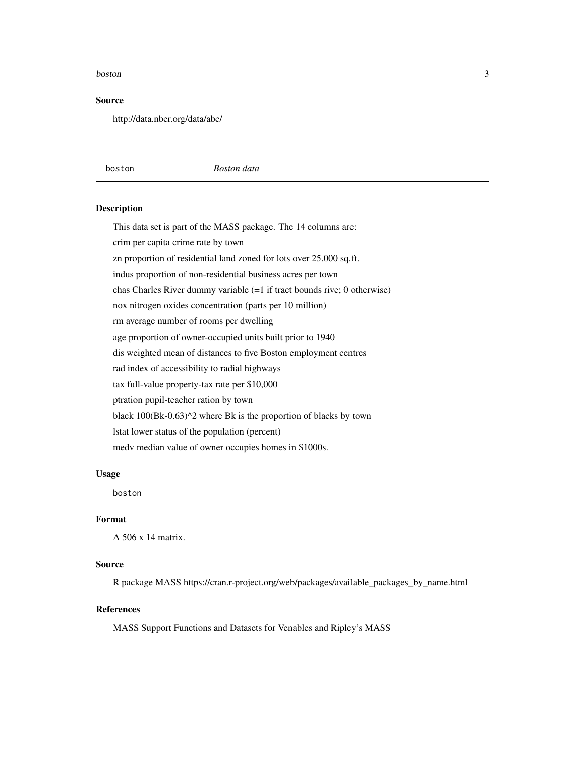#### <span id="page-2-0"></span>boston 3

#### Source

http://data.nber.org/data/abc/

boston *Boston data*

#### Description

This data set is part of the MASS package. The 14 columns are: crim per capita crime rate by town zn proportion of residential land zoned for lots over 25.000 sq.ft. indus proportion of non-residential business acres per town chas Charles River dummy variable (=1 if tract bounds rive; 0 otherwise) nox nitrogen oxides concentration (parts per 10 million) rm average number of rooms per dwelling age proportion of owner-occupied units built prior to 1940 dis weighted mean of distances to five Boston employment centres rad index of accessibility to radial highways tax full-value property-tax rate per \$10,000 ptration pupil-teacher ration by town black 100(Bk-0.63)^2 where Bk is the proportion of blacks by town lstat lower status of the population (percent) medv median value of owner occupies homes in \$1000s.

#### Usage

boston

# Format

A 506 x 14 matrix.

#### Source

R package MASS https://cran.r-project.org/web/packages/available\_packages\_by\_name.html

# References

MASS Support Functions and Datasets for Venables and Ripley's MASS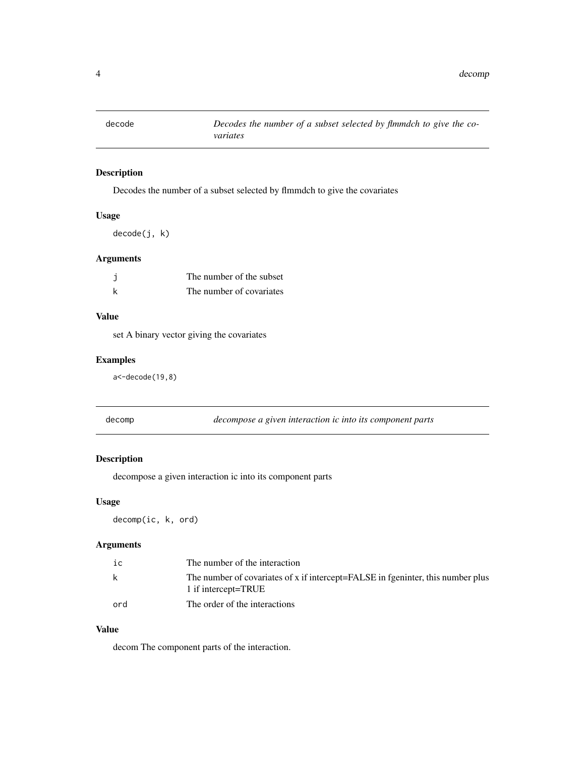<span id="page-3-0"></span>

Decodes the number of a subset selected by flmmdch to give the covariates

# Usage

decode(j, k)

# Arguments

| The number of the subset |
|--------------------------|
| The number of covariates |

# Value

set A binary vector giving the covariates

# Examples

a<-decode(19,8)

decomp *decompose a given interaction ic into its component parts*

# Description

decompose a given interaction ic into its component parts

#### Usage

decomp(ic, k, ord)

# Arguments

| ic  | The number of the interaction                                                                          |
|-----|--------------------------------------------------------------------------------------------------------|
| k   | The number of covariates of x if intercept=FALSE in fgeninter, this number plus<br>1 if intercept=TRUE |
| ord | The order of the interactions                                                                          |

# Value

decom The component parts of the interaction.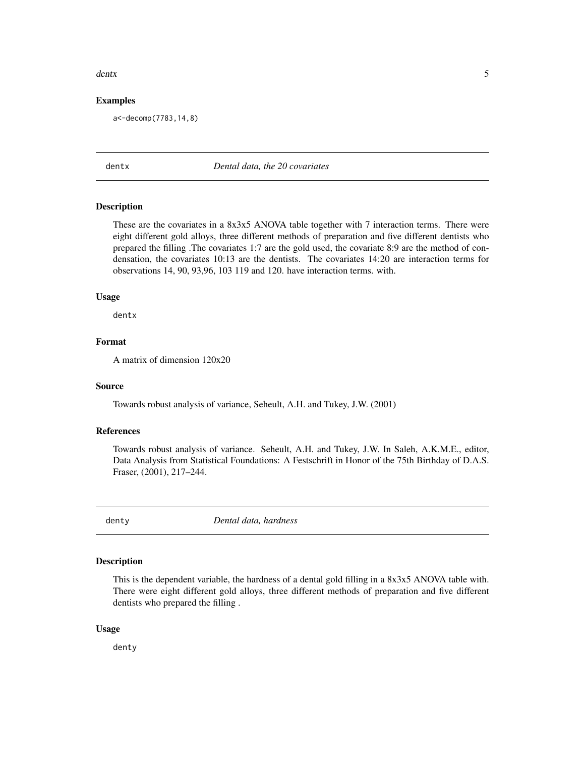#### <span id="page-4-0"></span>dentx 5

#### Examples

a<-decomp(7783,14,8)

#### dentx *Dental data, the 20 covariates*

#### Description

These are the covariates in a 8x3x5 ANOVA table together with 7 interaction terms. There were eight different gold alloys, three different methods of preparation and five different dentists who prepared the filling .The covariates 1:7 are the gold used, the covariate 8:9 are the method of condensation, the covariates 10:13 are the dentists. The covariates 14:20 are interaction terms for observations 14, 90, 93,96, 103 119 and 120. have interaction terms. with.

#### Usage

dentx

# Format

A matrix of dimension 120x20

#### Source

Towards robust analysis of variance, Seheult, A.H. and Tukey, J.W. (2001)

# References

Towards robust analysis of variance. Seheult, A.H. and Tukey, J.W. In Saleh, A.K.M.E., editor, Data Analysis from Statistical Foundations: A Festschrift in Honor of the 75th Birthday of D.A.S. Fraser, (2001), 217–244.

denty *Dental data, hardness*

### Description

This is the dependent variable, the hardness of a dental gold filling in a 8x3x5 ANOVA table with. There were eight different gold alloys, three different methods of preparation and five different dentists who prepared the filling .

#### Usage

denty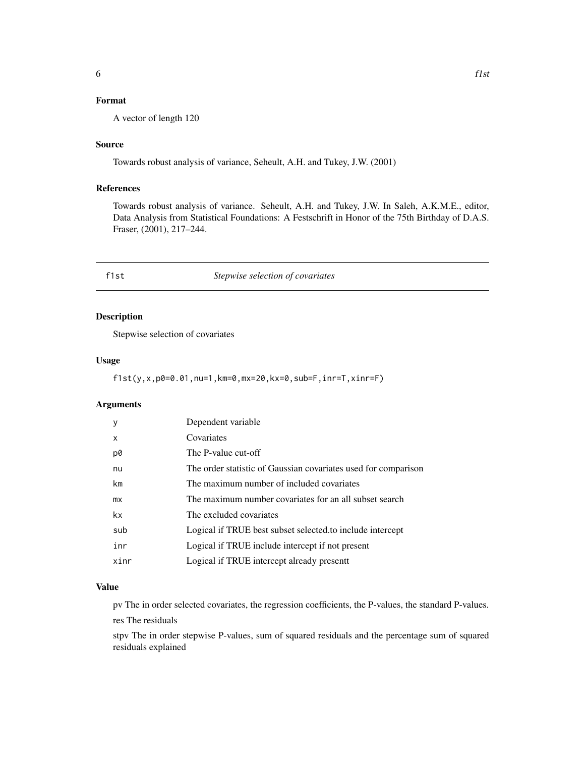# <span id="page-5-0"></span>Format

A vector of length 120

#### Source

Towards robust analysis of variance, Seheult, A.H. and Tukey, J.W. (2001)

# References

Towards robust analysis of variance. Seheult, A.H. and Tukey, J.W. In Saleh, A.K.M.E., editor, Data Analysis from Statistical Foundations: A Festschrift in Honor of the 75th Birthday of D.A.S. Fraser, (2001), 217–244.

#### f1st *Stepwise selection of covariates*

# Description

Stepwise selection of covariates

#### Usage

f1st(y,x,p0=0.01,nu=1,km=0,mx=20,kx=0,sub=F,inr=T,xinr=F)

# Arguments

| y    | Dependent variable                                             |
|------|----------------------------------------------------------------|
| X    | Covariates                                                     |
| p0   | The P-value cut-off                                            |
| nu   | The order statistic of Gaussian covariates used for comparison |
| km   | The maximum number of included covariates                      |
| mx   | The maximum number covariates for an all subset search         |
| kx.  | The excluded covariates                                        |
| sub  | Logical if TRUE best subset selected to include intercept      |
| inr  | Logical if TRUE include intercept if not present               |
| xinr | Logical if TRUE intercept already presentt                     |

# Value

pv The in order selected covariates, the regression coefficients, the P-values, the standard P-values.

res The residuals

stpv The in order stepwise P-values, sum of squared residuals and the percentage sum of squared residuals explained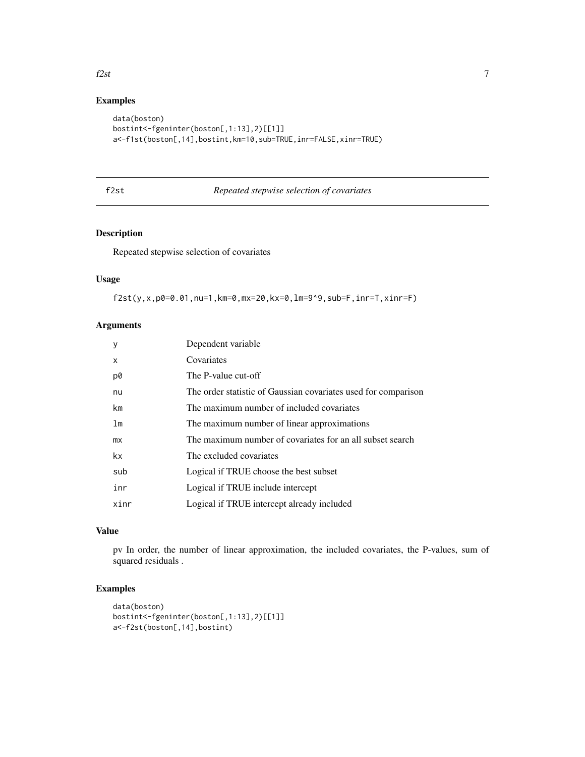# <span id="page-6-0"></span>f2st  $\frac{1}{2}$  1

# Examples

```
data(boston)
bostint<-fgeninter(boston[,1:13],2)[[1]]
a<-f1st(boston[,14],bostint,km=10,sub=TRUE,inr=FALSE,xinr=TRUE)
```
# f2st *Repeated stepwise selection of covariates*

# Description

Repeated stepwise selection of covariates

# Usage

f2st(y,x,p0=0.01,nu=1,km=0,mx=20,kx=0,lm=9^9,sub=F,inr=T,xinr=F)

# Arguments

| y            | Dependent variable                                             |
|--------------|----------------------------------------------------------------|
| $\mathsf{x}$ | Covariates                                                     |
| p0           | The P-value cut-off                                            |
| nu           | The order statistic of Gaussian covariates used for comparison |
| km           | The maximum number of included covariates                      |
| lm           | The maximum number of linear approximations                    |
| mx           | The maximum number of covariates for an all subset search      |
| kx           | The excluded covariates                                        |
| sub          | Logical if TRUE choose the best subset                         |
| inr          | Logical if TRUE include intercept                              |
| xinr         | Logical if TRUE intercept already included                     |

# Value

pv In order, the number of linear approximation, the included covariates, the P-values, sum of squared residuals .

```
data(boston)
bostint<-fgeninter(boston[,1:13],2)[[1]]
a<-f2st(boston[,14],bostint)
```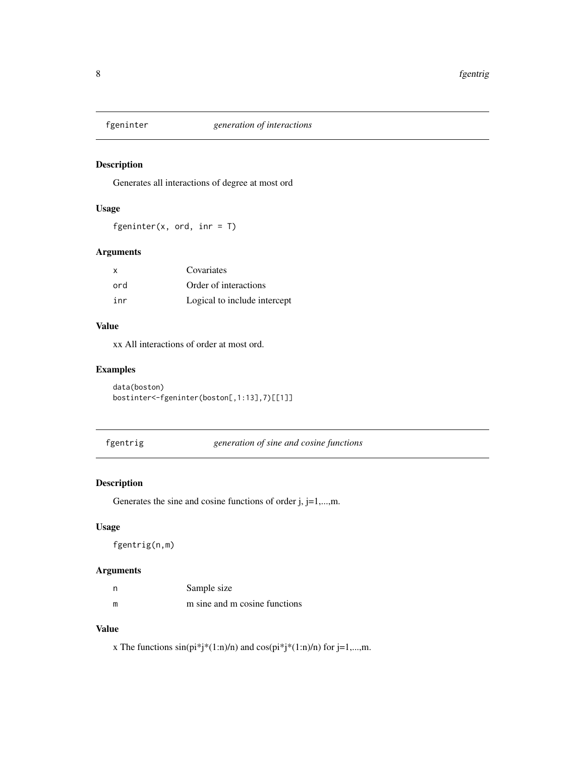<span id="page-7-0"></span>

Generates all interactions of degree at most ord

# Usage

fgeninter(x, ord, inr =  $T$ )

# Arguments

| X   | Covariates                   |
|-----|------------------------------|
| ord | Order of interactions        |
| inr | Logical to include intercept |

# Value

xx All interactions of order at most ord.

# Examples

data(boston) bostinter<-fgeninter(boston[,1:13],7)[[1]]

fgentrig *generation of sine and cosine functions*

# Description

Generates the sine and cosine functions of order j, j=1,...,m.

### Usage

fgentrig(n,m)

# Arguments

| - n | Sample size                   |
|-----|-------------------------------|
| m   | m sine and m cosine functions |

# Value

x The functions  $sin(p i^* j^*(1:n)/n)$  and  $cos(p i^* j^*(1:n)/n)$  for j=1,...,m.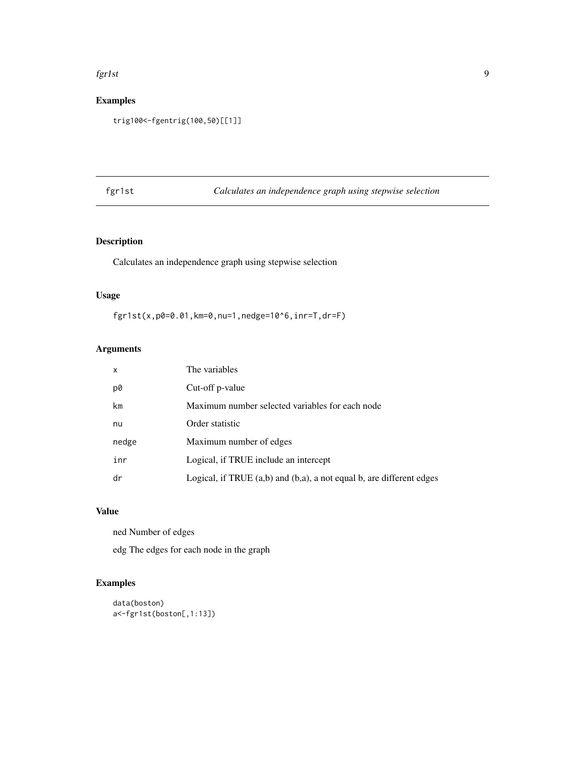#### <span id="page-8-0"></span>fgr1st 9

# Examples

```
trig100<-fgentrig(100,50)[[1]]
```
fgr1st *Calculates an independence graph using stepwise selection*

# Description

Calculates an independence graph using stepwise selection

# Usage

fgr1st(x,p0=0.01,km=0,nu=1,nedge=10^6,inr=T,dr=F)

# Arguments

| x     | The variables                                                             |
|-------|---------------------------------------------------------------------------|
| p0    | Cut-off p-value                                                           |
| km    | Maximum number selected variables for each node                           |
| nu    | Order statistic                                                           |
| nedge | Maximum number of edges                                                   |
| inr   | Logical, if TRUE include an intercept                                     |
| dr    | Logical, if TRUE $(a,b)$ and $(b,a)$ , a not equal b, are different edges |

# Value

ned Number of edges

edg The edges for each node in the graph

```
data(boston)
a<-fgr1st(boston[,1:13])
```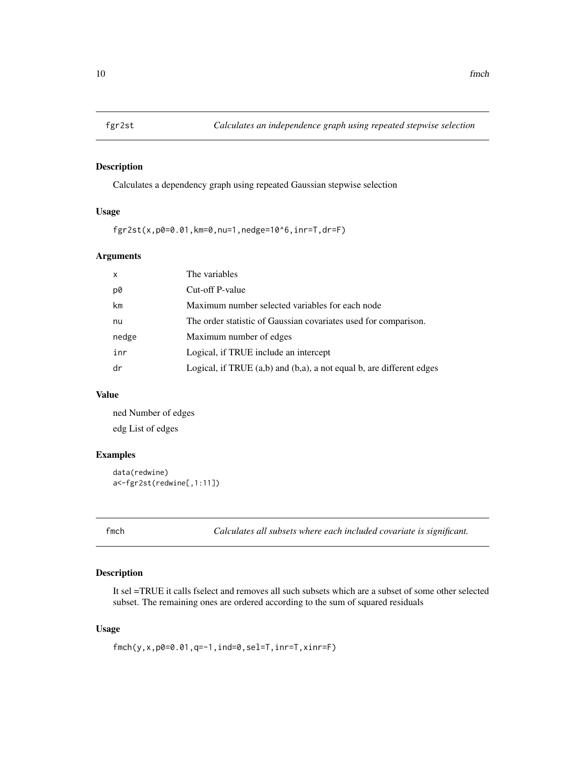<span id="page-9-0"></span>

Calculates a dependency graph using repeated Gaussian stepwise selection

# Usage

fgr2st(x,p0=0.01,km=0,nu=1,nedge=10^6,inr=T,dr=F)

# Arguments

| The variables                                                             |
|---------------------------------------------------------------------------|
| Cut-off P-value                                                           |
| Maximum number selected variables for each node                           |
| The order statistic of Gaussian covariates used for comparison.           |
| Maximum number of edges                                                   |
| Logical, if TRUE include an intercept                                     |
| Logical, if TRUE $(a,b)$ and $(b,a)$ , a not equal b, are different edges |
|                                                                           |

# Value

ned Number of edges edg List of edges

# Examples

```
data(redwine)
a<-fgr2st(redwine[,1:11])
```
fmch *Calculates all subsets where each included covariate is significant.*

#### Description

It sel =TRUE it calls fselect and removes all such subsets which are a subset of some other selected subset. The remaining ones are ordered according to the sum of squared residuals

# Usage

```
fmch(y,x,p0=0.01,q=-1,ind=0,sel=T,inr=T,xinr=F)
```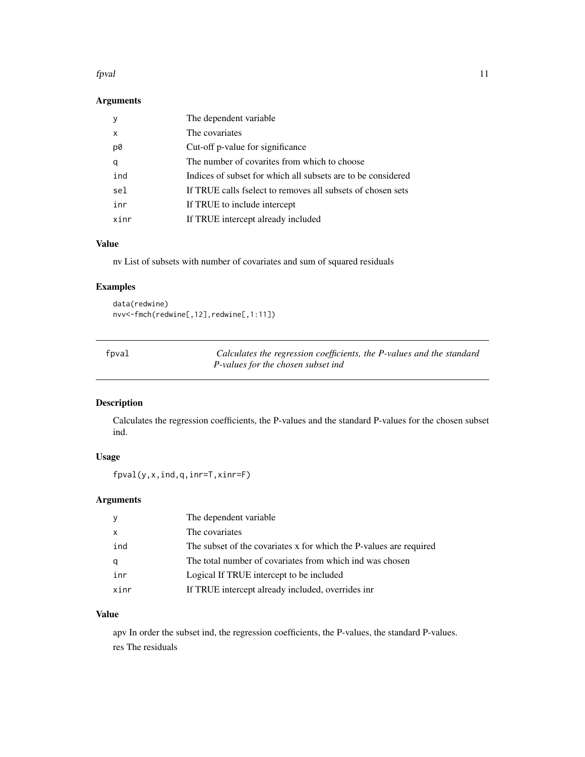#### <span id="page-10-0"></span>fpval the contract of the contract of the contract of the contract of the contract of the contract of the contract of the contract of the contract of the contract of the contract of the contract of the contract of the cont

# Arguments

|      | The dependent variable                                       |
|------|--------------------------------------------------------------|
| X    | The covariates                                               |
| p0   | Cut-off p-value for significance                             |
| q    | The number of covarities from which to choose                |
| ind  | Indices of subset for which all subsets are to be considered |
| sel  | If TRUE calls fselect to removes all subsets of chosen sets  |
| inr  | If TRUE to include intercept                                 |
| xinr | If TRUE intercept already included                           |

## Value

nv List of subsets with number of covariates and sum of squared residuals

# Examples

data(redwine) nvv<-fmch(redwine[,12],redwine[,1:11])

| fpval | Calculates the regression coefficients, the P-values and the standard |  |
|-------|-----------------------------------------------------------------------|--|
|       | P-values for the chosen subset ind                                    |  |

# Description

Calculates the regression coefficients, the P-values and the standard P-values for the chosen subset ind.

# Usage

fpval(y,x,ind,q,inr=T,xinr=F)

# Arguments

|                           | The dependent variable                                             |
|---------------------------|--------------------------------------------------------------------|
| $\boldsymbol{\mathsf{x}}$ | The covariates                                                     |
| ind                       | The subset of the covariates x for which the P-values are required |
| q                         | The total number of covariates from which ind was chosen           |
| inr                       | Logical If TRUE intercept to be included                           |
| xinr                      | If TRUE intercept already included, overrides inr                  |

# Value

apv In order the subset ind, the regression coefficients, the P-values, the standard P-values. res The residuals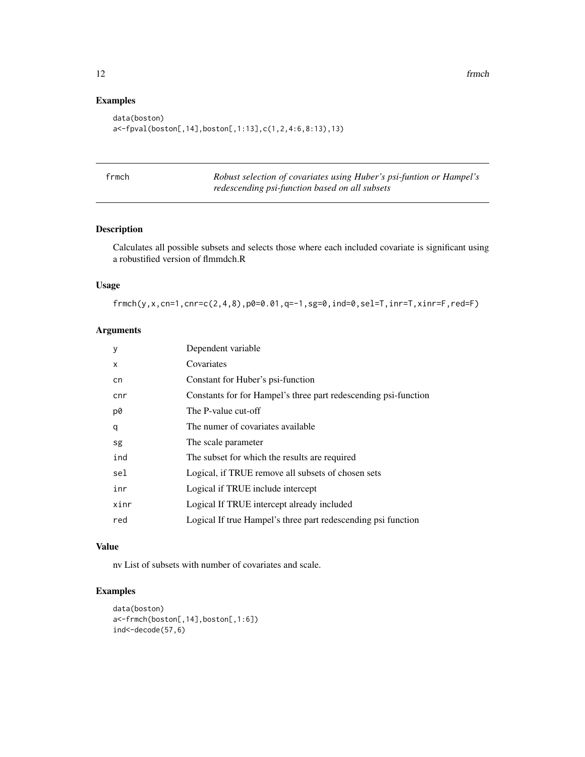# Examples

```
data(boston)
a<-fpval(boston[,14],boston[,1:13],c(1,2,4:6,8:13),13)
```

| ٠ |  |
|---|--|

framath **Robust selection of covariates using Huber's psi-funtion or Hampel's** *redescending psi-function based on all subsets*

# Description

Calculates all possible subsets and selects those where each included covariate is significant using a robustified version of flmmdch.R

#### Usage

frmch(y,x,cn=1,cnr=c(2,4,8),p0=0.01,q=-1,sg=0,ind=0,sel=T,inr=T,xinr=F,red=F)

# Arguments

| y    | Dependent variable                                              |
|------|-----------------------------------------------------------------|
| X    | Covariates                                                      |
| cn   | Constant for Huber's psi-function                               |
| cnr  | Constants for for Hampel's three part redescending psi-function |
| p0   | The P-value cut-off                                             |
| q    | The numer of covariates available                               |
| sg   | The scale parameter                                             |
| ind  | The subset for which the results are required                   |
| sel  | Logical, if TRUE remove all subsets of chosen sets              |
| inr  | Logical if TRUE include intercept                               |
| xinr | Logical If TRUE intercept already included                      |
| red  | Logical If true Hampel's three part redescending psi function   |

# Value

nv List of subsets with number of covariates and scale.

```
data(boston)
a<-frmch(boston[,14],boston[,1:6])
ind<-decode(57,6)
```
<span id="page-11-0"></span>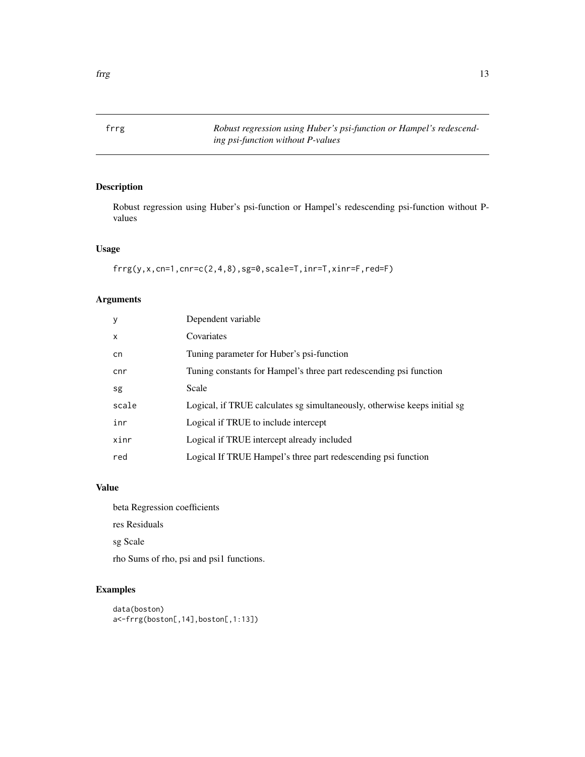<span id="page-12-0"></span>

Robust regression using Huber's psi-function or Hampel's redescending psi-function without Pvalues

# Usage

```
frrg(y,x,cn=1,cnr=c(2,4,8),sg=0,scale=T,inr=T,xinr=F,red=F)
```
# Arguments

| y            | Dependent variable                                                        |
|--------------|---------------------------------------------------------------------------|
| $\mathsf{x}$ | Covariates                                                                |
| cn           | Tuning parameter for Huber's psi-function                                 |
| cnr          | Tuning constants for Hampel's three part redescending psi function        |
| sg           | Scale                                                                     |
| scale        | Logical, if TRUE calculates sg simultaneously, otherwise keeps initial sg |
| inr          | Logical if TRUE to include intercept                                      |
| xinr         | Logical if TRUE intercept already included                                |
| red          | Logical If TRUE Hampel's three part redescending psi function             |

# Value

beta Regression coefficients

res Residuals

sg Scale

rho Sums of rho, psi and psi1 functions.

```
data(boston)
a<-frrg(boston[,14],boston[,1:13])
```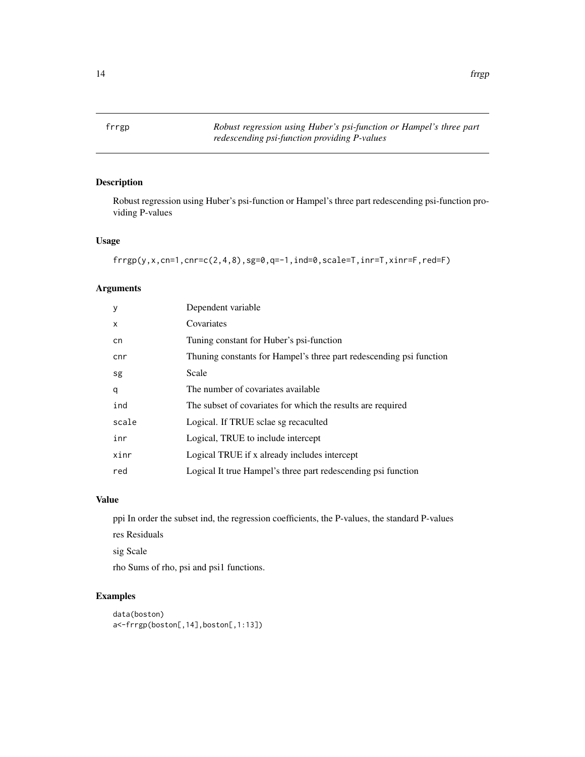<span id="page-13-0"></span>

Robust regression using Huber's psi-function or Hampel's three part redescending psi-function providing P-values

# Usage

```
frrpg(y,x,cn=1,cnr=c(2,4,8),sg=0,q=-1,ind=0,scale=T,inr=T,xinr=F,red=F)
```
# Arguments

| y     | Dependent variable                                                  |
|-------|---------------------------------------------------------------------|
| X     | Covariates                                                          |
| cn    | Tuning constant for Huber's psi-function                            |
| cnr   | Thuning constants for Hampel's three part redescending psi function |
| sg    | Scale                                                               |
| q     | The number of covariates available                                  |
| ind   | The subset of covariates for which the results are required         |
| scale | Logical. If TRUE sclae sg recaculted                                |
| inr   | Logical, TRUE to include intercept                                  |
| xinr  | Logical TRUE if x already includes intercept                        |
| red   | Logical It true Hampel's three part redescending psi function       |

#### Value

ppi In order the subset ind, the regression coefficients, the P-values, the standard P-values

res Residuals

sig Scale

rho Sums of rho, psi and psi1 functions.

```
data(boston)
a<-frrgp(boston[,14],boston[,1:13])
```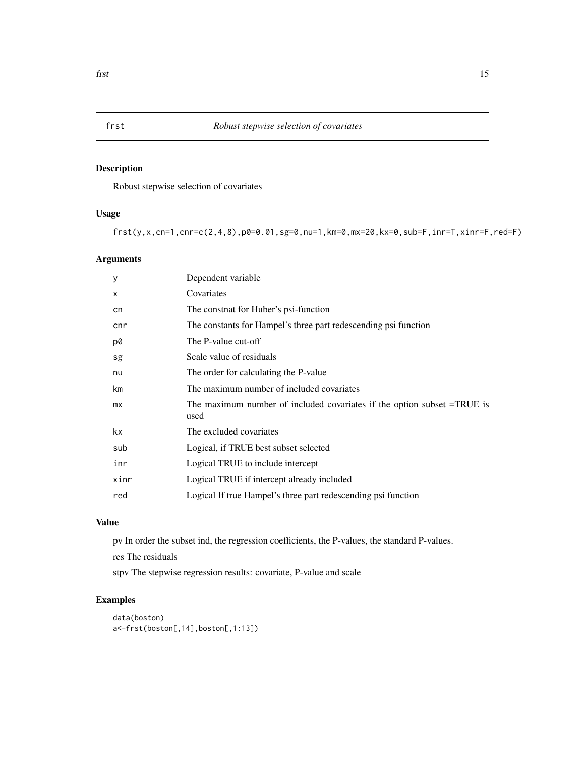Robust stepwise selection of covariates

# Usage

frst(y,x,cn=1,cnr=c(2,4,8),p0=0.01,sg=0,nu=1,km=0,mx=20,kx=0,sub=F,inr=T,xinr=F,red=F)

# Arguments

| У            | Dependent variable                                                                 |
|--------------|------------------------------------------------------------------------------------|
| $\mathsf{x}$ | Covariates                                                                         |
| cn           | The constnat for Huber's psi-function                                              |
| cnr          | The constants for Hampel's three part redescending psi function                    |
| p0           | The P-value cut-off                                                                |
| sg           | Scale value of residuals                                                           |
| nu           | The order for calculating the P-value                                              |
| km           | The maximum number of included covariates                                          |
| mx           | The maximum number of included covariates if the option subset $=$ TRUE is<br>used |
| kx.          | The excluded covariates                                                            |
| sub          | Logical, if TRUE best subset selected                                              |
| inr          | Logical TRUE to include intercept                                                  |
| xinr         | Logical TRUE if intercept already included                                         |
| red          | Logical If true Hampel's three part redescending psi function                      |
|              |                                                                                    |

# Value

pv In order the subset ind, the regression coefficients, the P-values, the standard P-values.

res The residuals

stpv The stepwise regression results: covariate, P-value and scale

```
data(boston)
a<-frst(boston[,14],boston[,1:13])
```
<span id="page-14-0"></span>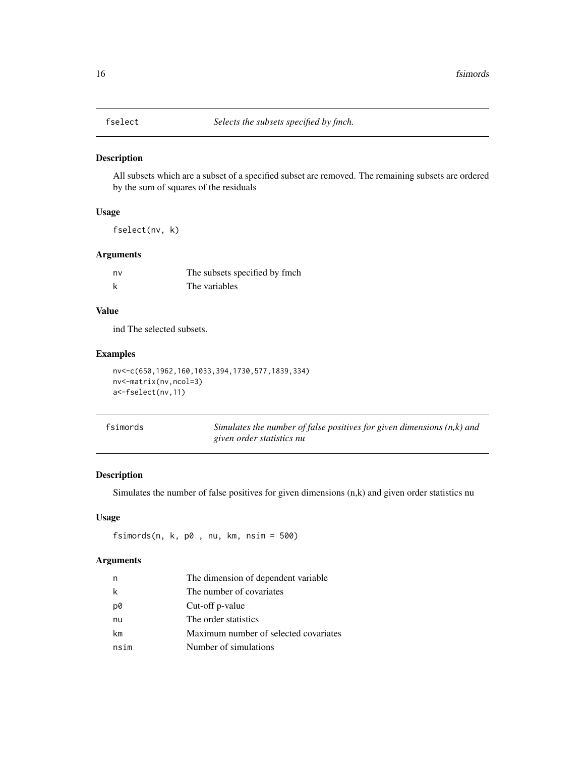<span id="page-15-0"></span>

All subsets which are a subset of a specified subset are removed. The remaining subsets are ordered by the sum of squares of the residuals

# Usage

fselect(nv, k)

# Arguments

| nv | The subsets specified by fmch |
|----|-------------------------------|
|    | The variables                 |

# Value

ind The selected subsets.

#### Examples

```
nv<-c(650,1962,160,1033,394,1730,577,1839,334)
nv<-matrix(nv,ncol=3)
a<-fselect(nv,11)
```

| fsimords | Simulates the number of false positives for given dimensions $(n, k)$ and |
|----------|---------------------------------------------------------------------------|
|          | given order statistics nu                                                 |

# Description

Simulates the number of false positives for given dimensions (n,k) and given order statistics nu

#### Usage

```
fsimords(n, k, p0 , nu, km, nsim = 500)
```
# Arguments

|      | The dimension of dependent variable   |
|------|---------------------------------------|
| k    | The number of covariates              |
| p0   | Cut-off p-value                       |
| nu   | The order statistics                  |
| km   | Maximum number of selected covariates |
| nsim | Number of simulations                 |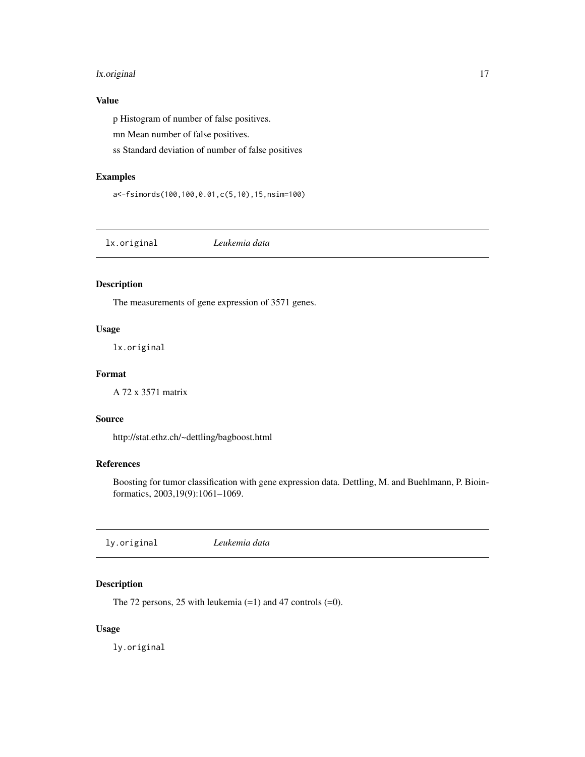# <span id="page-16-0"></span>lx.original 17

# Value

p Histogram of number of false positives.

mn Mean number of false positives.

ss Standard deviation of number of false positives

#### Examples

a<-fsimords(100,100,0.01,c(5,10),15,nsim=100)

lx.original *Leukemia data*

# Description

The measurements of gene expression of 3571 genes.

# Usage

lx.original

# Format

A 72 x 3571 matrix

#### Source

http://stat.ethz.ch/~dettling/bagboost.html

# References

Boosting for tumor classification with gene expression data. Dettling, M. and Buehlmann, P. Bioinformatics, 2003,19(9):1061–1069.

# Description

The 72 persons, 25 with leukemia (=1) and 47 controls (=0).

# Usage

ly.original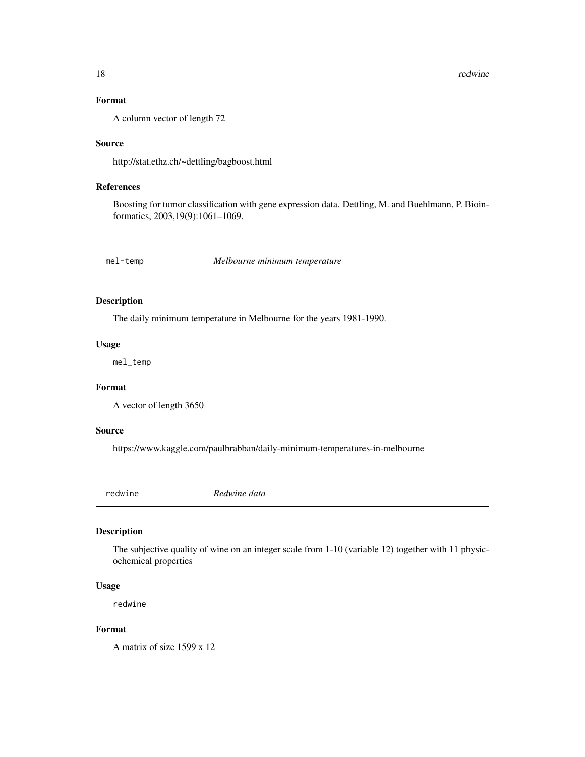# <span id="page-17-0"></span>Format

A column vector of length 72

#### Source

http://stat.ethz.ch/~dettling/bagboost.html

# References

Boosting for tumor classification with gene expression data. Dettling, M. and Buehlmann, P. Bioinformatics, 2003,19(9):1061–1069.

mel-temp *Melbourne minimum temperature*

# Description

The daily minimum temperature in Melbourne for the years 1981-1990.

#### Usage

mel\_temp

# Format

A vector of length 3650

#### Source

https://www.kaggle.com/paulbrabban/daily-minimum-temperatures-in-melbourne

redwine *Redwine data*

# Description

The subjective quality of wine on an integer scale from 1-10 (variable 12) together with 11 physicochemical properties

#### Usage

redwine

#### Format

A matrix of size 1599 x 12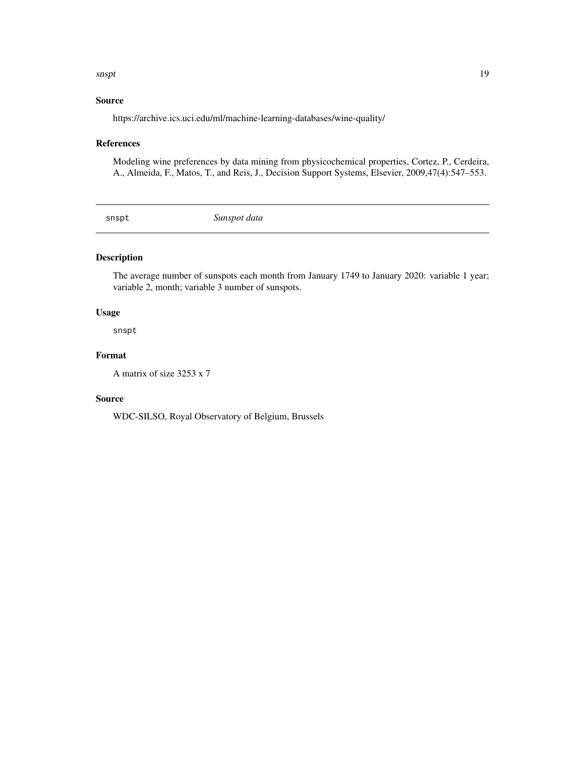#### <span id="page-18-0"></span>snspt to the contract of the contract of the contract of the contract of the contract of the contract of the contract of the contract of the contract of the contract of the contract of the contract of the contract of the c

# Source

https://archive.ics.uci.edu/ml/machine-learning-databases/wine-quality/

# References

Modeling wine preferences by data mining from physicochemical properties, Cortez, P., Cerdeira, A., Almeida, F., Matos, T., and Reis, J., Decision Support Systems, Elsevier, 2009,47(4):547–553.

snspt *Sunspot data*

# Description

The average number of sunspots each month from January 1749 to January 2020: variable 1 year; variable 2, month; variable 3 number of sunspots.

#### Usage

snspt

#### Format

A matrix of size 3253 x 7

# Source

WDC-SILSO, Royal Observatory of Belgium, Brussels